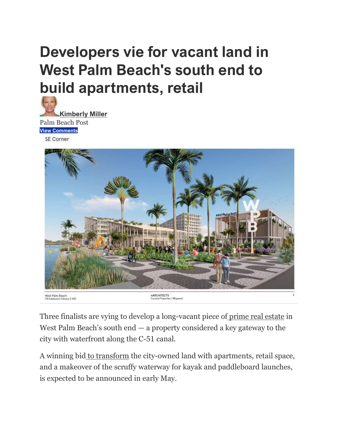# **Developers vie for vacant land in West Palm Beach's south end to build apartments, retail**

**[Kimberly Miller](https://www.palmbeachpost.com/staff/3336153001/kimberly-miller/)** Palm Beach Post **View [Comments](https://cm.palmbeachpost.com/comment/?storyUrl=https%3A%2F%2Fwww.palmbeachpost.com%2Fstory%2Fbusiness%2F2022%2F03%2F21%2Fnew-apartments-planned-south-end-west-palm-beach-vacant-site%2F7033726001%2F&marketName=palmbeachpost&commentsopen=false)** SE Corner



Three finalists are vying to develop a long-vacant piece of [prime real estate](https://www.palmbeachpost.com/story/news/2022/02/07/miami-dolphins-owner-and-related-cos-developer-stephen-ross-helped-transform-west-palm-beach/6638327001/) in West Palm Beach's south end  $-$  a property considered a key gateway to the city with waterfront along the C-51 canal.

A winning bid [to transform](https://www.palmbeachpost.com/story/business/2021/07/12/some-lines-between-west-palm-beach-palm-beach-blurring/7684047002/) the city-owned land with apartments, retail space, and a makeover of the scruffy waterway for kayak and paddleboard launches, is expected to be announced in early May.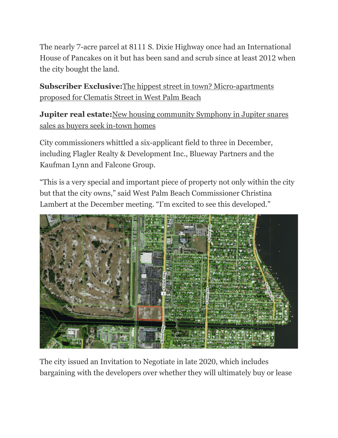The nearly 7-acre parcel at 8111 S. Dixie Highway once had an International House of Pancakes on it but has been sand and scrub since at least 2012 when the city bought the land.

**Subscriber Exclusive:**[The hippest street in town? Micro-apartments](https://www.palmbeachpost.com/story/business/2022/03/07/micro-apartments-could-replace-spankys-lot-clematis-street/6910749001/)  [proposed for Clematis Street in West Palm Beach](https://www.palmbeachpost.com/story/business/2022/03/07/micro-apartments-could-replace-spankys-lot-clematis-street/6910749001/)

**Jupiter real estate:**New housing community Symphony in Jupiter snares [sales as buyers seek in-town homes](https://www.palmbeachpost.com/story/business/2022/02/17/new-housing-community-symphony-being-built-in-jupiter-prime-land/6782253001/)

City commissioners whittled a six-applicant field to three in December, including Flagler Realty & Development Inc., Blueway Partners and the Kaufman Lynn and Falcone Group.

"This is a very special and important piece of property not only within the city but that the city owns," said West Palm Beach Commissioner Christina Lambert at the December meeting. "I'm excited to see this developed."



The city issued an Invitation to Negotiate in late 2020, which includes bargaining with the developers over whether they will ultimately buy or lease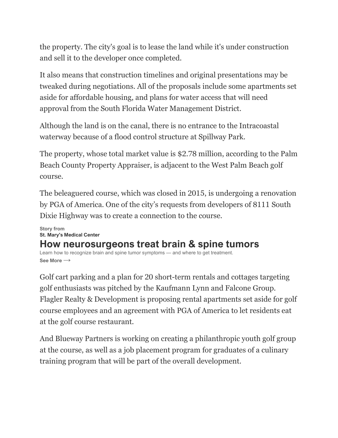the property. The city's goal is to lease the land while it's under construction and sell it to the developer once completed.

It also means that construction timelines and original presentations may be tweaked during negotiations. All of the proposals include some apartments set aside for affordable housing, and plans for water access that will need approval from the South Florida Water Management District.

Although the land is on the canal, there is no entrance to the Intracoastal waterway because of a flood control structure at Spillway Park.

The property, whose total market value is \$2.78 million, according to the Palm Beach County Property Appraiser, is adjacent to the West Palm Beach golf course.

The beleaguered course, which was closed in 2015, is undergoing a renovation by PGA of America. One of the city's requests from developers of 8111 South Dixie Highway was to create a connection to the course.

#### **[Story from](https://www.palmbeachpost.com/story/sponsor-story/st-marys-medical-center/2022/02/04/targeted-brain-and-spine-tumor-treatment-st-marys-medical-center/9313947002/) [St. Mary's Medical Center](https://www.palmbeachpost.com/story/sponsor-story/st-marys-medical-center/2022/02/04/targeted-brain-and-spine-tumor-treatment-st-marys-medical-center/9313947002/) [How neurosurgeons treat brain & spine tumors](https://www.palmbeachpost.com/story/sponsor-story/st-marys-medical-center/2022/02/04/targeted-brain-and-spine-tumor-treatment-st-marys-medical-center/9313947002/)** [Learn how to recognize brain and spine tumor symptoms — and where to get treatment.](https://www.palmbeachpost.com/story/sponsor-story/st-marys-medical-center/2022/02/04/targeted-brain-and-spine-tumor-treatment-st-marys-medical-center/9313947002/)

**[See More](https://www.palmbeachpost.com/story/sponsor-story/st-marys-medical-center/2022/02/04/targeted-brain-and-spine-tumor-treatment-st-marys-medical-center/9313947002/) →**

Golf cart parking and a plan for 20 short-term rentals and cottages targeting golf enthusiasts was pitched by the Kaufmann Lynn and Falcone Group. Flagler Realty & Development is proposing rental apartments set aside for golf course employees and an agreement with PGA of America to let residents eat at the golf course restaurant.

And Blueway Partners is working on creating a philanthropic youth golf group at the course, as well as a job placement program for graduates of a culinary training program that will be part of the overall development.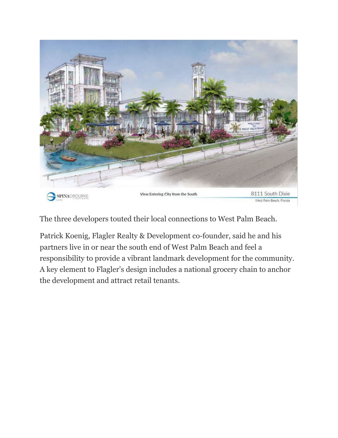

The three developers touted their local connections to West Palm Beach.

Patrick Koenig, Flagler Realty & Development co-founder, said he and his partners live in or near the south end of West Palm Beach and feel a responsibility to provide a vibrant landmark development for the community. A key element to Flagler's design includes a national grocery chain to anchor the development and attract retail tenants.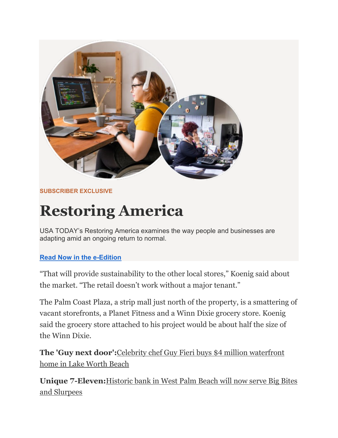

### **SUBSCRIBER EXCLUSIVE**

# **Restoring America**

USA TODAY's Restoring America examines the way people and businesses are adapting amid an ongoing return to normal.

## **[Read Now in the e-Edition](https://user.palmbeachpost.com/user/enewspaper?utm_medium=onsite&utm_source=retention&utm_campaign=magazine&utm_content=March2022&utm_term=inline&itm_medium=onsite&itm_source=retention&itm_campaign=magazine&itm_content=March2022&itm_term=inline)**

"That will provide sustainability to the other local stores," Koenig said about the market. "The retail doesn't work without a major tenant."

The Palm Coast Plaza, a strip mall just north of the property, is a smattering of vacant storefronts, a Planet Fitness and a Winn Dixie grocery store. Koenig said the grocery store attached to his project would be about half the size of the Winn Dixie.

**The 'Guy next door':**[Celebrity chef Guy Fieri buys \\$4 million waterfront](https://www.palmbeachpost.com/story/news/2022/02/24/guy-fieri-food-network-florida-home-south-beach-flavortown-restaurant/6895539001/)  [home in Lake Worth Beach](https://www.palmbeachpost.com/story/news/2022/02/24/guy-fieri-food-network-florida-home-south-beach-flavortown-restaurant/6895539001/)

**Unique 7-Eleven:**[Historic bank in West Palm Beach will now serve Big Bites](https://www.palmbeachpost.com/story/news/local/westpb/2021/12/03/unique-7-eleven-west-palm-beach-historic-bank-saved-elegant-redo/8810904002/)  [and Slurpees](https://www.palmbeachpost.com/story/news/local/westpb/2021/12/03/unique-7-eleven-west-palm-beach-historic-bank-saved-elegant-redo/8810904002/)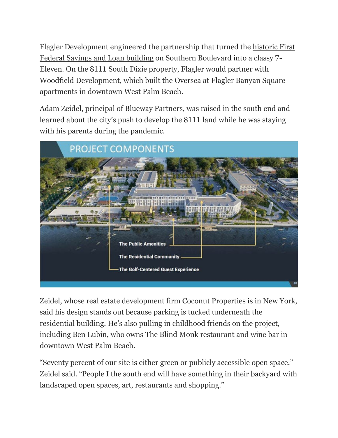Flagler Development engineered the partnership that turned the [historic First](https://www.palmbeachpost.com/story/news/local/westpb/2021/12/03/unique-7-eleven-west-palm-beach-historic-bank-saved-elegant-redo/8810904002/)  [Federal Savings and Loan](https://www.palmbeachpost.com/story/news/local/westpb/2021/12/03/unique-7-eleven-west-palm-beach-historic-bank-saved-elegant-redo/8810904002/) building on Southern Boulevard into a classy 7- Eleven. On the 8111 South Dixie property, Flagler would partner with Woodfield Development, which built the Oversea at Flagler Banyan Square apartments in downtown West Palm Beach.

Adam Zeidel, principal of Blueway Partners, was raised in the south end and learned about the city's push to develop the 8111 land while he was staying with his parents during the pandemic.



Zeidel, whose real estate development firm Coconut Properties is in New York, said his design stands out because parking is tucked underneath the residential building. He's also pulling in childhood friends on the project, including Ben Lubin, who owns [The Blind Monk](https://www.palmbeachpost.com/story/entertainment/dining/2016/09/21/wine-tasting-blind-monk-compares/7885304007/) restaurant and wine bar in downtown West Palm Beach.

"Seventy percent of our site is either green or publicly accessible open space," Zeidel said. "People I the south end will have something in their backyard with landscaped open spaces, art, restaurants and shopping."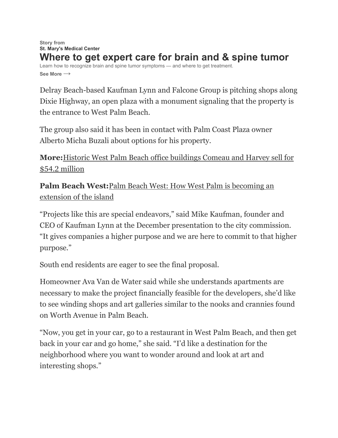#### **[Story from](https://www.palmbeachpost.com/story/sponsor-story/st-marys-medical-center/2022/02/04/targeted-brain-and-spine-tumor-treatment-st-marys-medical-center/9313947002/) [St. Mary's Medical Center](https://www.palmbeachpost.com/story/sponsor-story/st-marys-medical-center/2022/02/04/targeted-brain-and-spine-tumor-treatment-st-marys-medical-center/9313947002/) [Where to get expert care for brain and & spine tumor](https://www.palmbeachpost.com/story/sponsor-story/st-marys-medical-center/2022/02/04/targeted-brain-and-spine-tumor-treatment-st-marys-medical-center/9313947002/)** [Learn how to recognize brain and spine tumor symptoms — and where to get treatment.](https://www.palmbeachpost.com/story/sponsor-story/st-marys-medical-center/2022/02/04/targeted-brain-and-spine-tumor-treatment-st-marys-medical-center/9313947002/) **[See More](https://www.palmbeachpost.com/story/sponsor-story/st-marys-medical-center/2022/02/04/targeted-brain-and-spine-tumor-treatment-st-marys-medical-center/9313947002/) →**

Delray Beach-based Kaufman Lynn and Falcone Group is pitching shops along Dixie Highway, an open plaza with a monument signaling that the property is the entrance to West Palm Beach.

The group also said it has been in contact with Palm Coast Plaza owner Alberto Micha Buzali about options for his property.

**More:**[Historic West Palm Beach office buildings Comeau and Harvey sell for](https://www.palmbeachpost.com/story/news/2021/08/05/comeau-harvey-buildings-west-palm-part-55-million-sale/5489428001/)  [\\$54.2 million](https://www.palmbeachpost.com/story/news/2021/08/05/comeau-harvey-buildings-west-palm-part-55-million-sale/5489428001/)

**Palm Beach West:**[Palm Beach West: How West Palm is becoming an](https://www.palmbeachpost.com/story/business/2021/07/12/some-lines-between-west-palm-beach-palm-beach-blurring/7684047002/)  [extension of the island](https://www.palmbeachpost.com/story/business/2021/07/12/some-lines-between-west-palm-beach-palm-beach-blurring/7684047002/)

"Projects like this are special endeavors," said Mike Kaufman, founder and CEO of Kaufman Lynn at the December presentation to the city commission. "It gives companies a higher purpose and we are here to commit to that higher purpose."

South end residents are eager to see the final proposal.

Homeowner Ava Van de Water said while she understands apartments are necessary to make the project financially feasible for the developers, she'd like to see winding shops and art galleries similar to the nooks and crannies found on Worth Avenue in Palm Beach.

"Now, you get in your car, go to a restaurant in West Palm Beach, and then get back in your car and go home," she said. "I'd like a destination for the neighborhood where you want to wonder around and look at art and interesting shops."